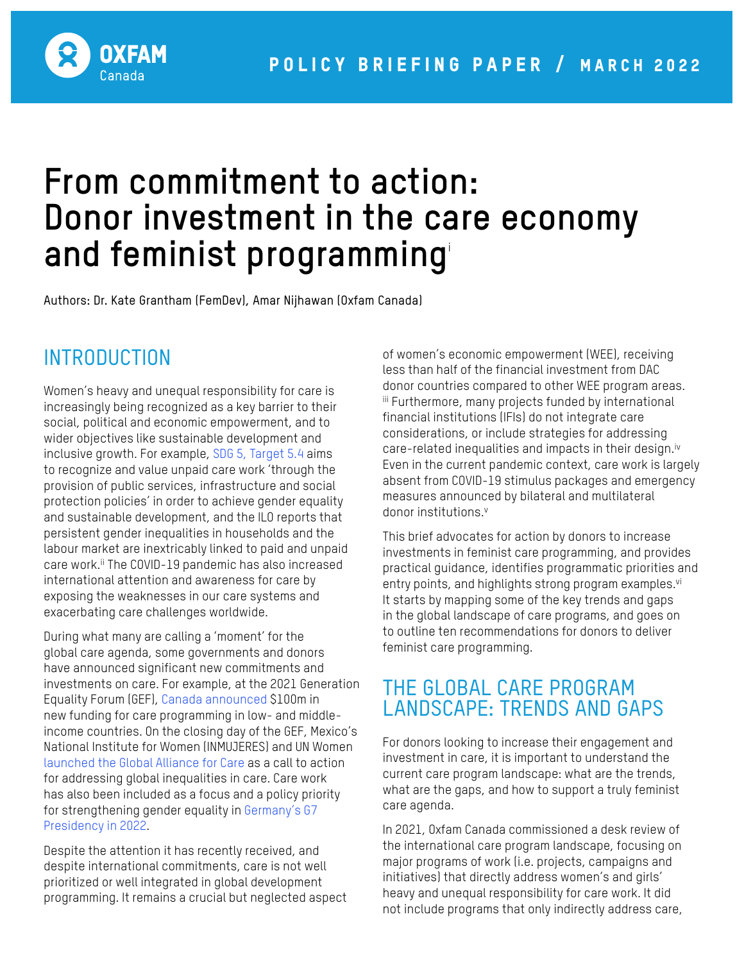

# **From commitment to action: Donor investment in the care economy and feminist programming**<sup>i</sup>

Authors: Dr. Kate Grantham (FemDev), Amar Nijhawan (Oxfam Canada)

# **INTRODUCTION**

Women's heavy and unequal responsibility for care is increasingly being recognized as a key barrier to their social, political and economic empowerment, and to wider objectives like sustainable development and inclusive growth. For example, [SDG 5, Target 5.4](https://sdgs.un.org/goals/goal5) aims to recognize and value unpaid care work 'through the provision of public services, infrastructure and social protection policies' in order to achieve gender equality and sustainable development, and the ILO reports that persistent gender inequalities in households and the labour market are inextricably linked to paid and unpaid care work.<sup>ii</sup> The COVID-19 pandemic has also increased international attention and awareness for care by exposing the weaknesses in our care systems and exacerbating care challenges worldwide.

During what many are calling a 'moment' for the global care agenda, some governments and donors have announced significant new commitments and investments on care. For example, at the 2021 Generation Equality Forum (GEF), [Canada announced](https://www.canada.ca/en/global-affairs/news/2021/06/new-canadian-investments-in-global-gender-equality.html) \$100m in new funding for care programming in low- and middleincome countries. On the closing day of the GEF, Mexico's National Institute for Women (INMUJERES) and UN Women [launched the Global Alliance for Care](https://alianzadecuidados.forogeneracionigualdad.mx/?lang=enase-activism-and-commitments-accelerate-gender-equality-mark-conclusion-generation) as a call to action for addressing global inequalities in care. Care work has also been included as a focus and a policy priority for strengthening gender equality in [Germany's G7](https://www.g7germany.de/resource/blob/998352/2000328/6cb78b73c9f000183e69738c255d9cc9/2022-01-21-g7-programm-en-data.pdf?download=1)  [Presidency in 2022.](https://www.g7germany.de/resource/blob/998352/2000328/6cb78b73c9f000183e69738c255d9cc9/2022-01-21-g7-programm-en-data.pdf?download=1)

Despite the attention it has recently received, and despite international commitments, care is not well prioritized or well integrated in global development programming. It remains a crucial but neglected aspect of women's economic empowerment (WEE), receiving less than half of the financial investment from DAC donor countries compared to other WEE program areas. iii Furthermore, many projects funded by international financial institutions (IFIs) do not integrate care considerations, or include strategies for addressing care-related inequalities and impacts in their design.<sup>iv</sup> Even in the current pandemic context, care work is largely absent from COVID-19 stimulus packages and emergency measures announced by bilateral and multilateral donor institutions.v

This brief advocates for action by donors to increase investments in feminist care programming, and provides practical guidance, identifies programmatic priorities and entry points, and highlights strong program examples.<sup>vi</sup> It starts by mapping some of the key trends and gaps in the global landscape of care programs, and goes on to outline ten recommendations for donors to deliver feminist care programming.

# THE GLOBAL CARE PROGRAM LANDSCAPE: TRENDS AND GAPS

For donors looking to increase their engagement and investment in care, it is important to understand the current care program landscape: what are the trends, what are the gaps, and how to support a truly feminist care agenda.

In 2021, Oxfam Canada commissioned a desk review of the international care program landscape, focusing on major programs of work (i.e. projects, campaigns and initiatives) that directly address women's and girls' heavy and unequal responsibility for care work. It did not include programs that only indirectly address care,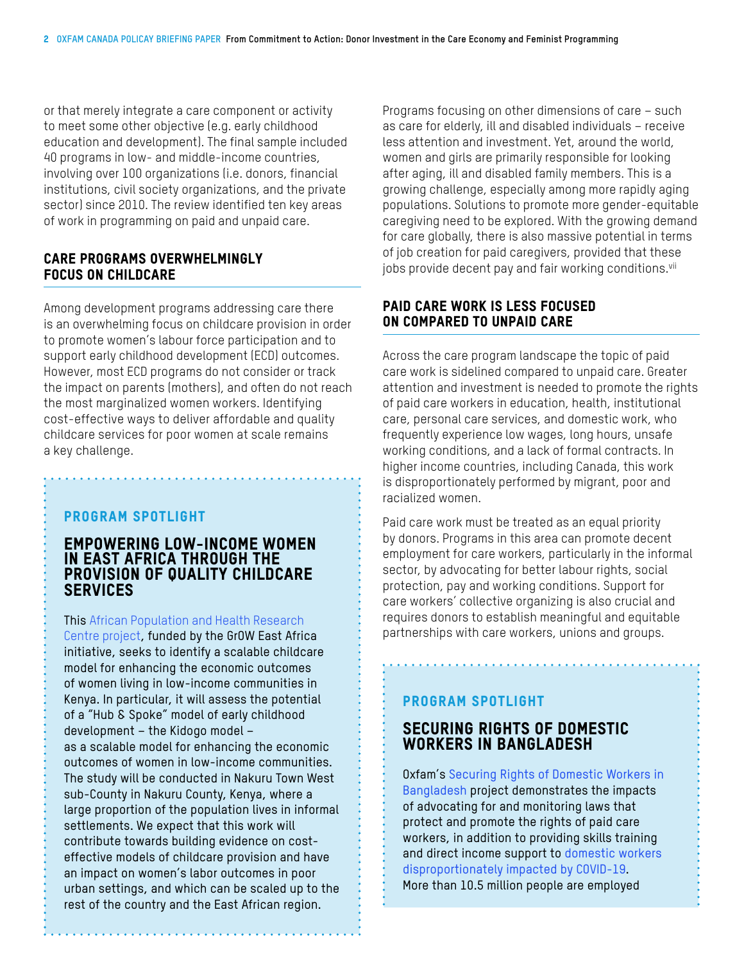or that merely integrate a care component or activity to meet some other objective (e.g. early childhood education and development). The final sample included 40 programs in low- and middle-income countries, involving over 100 organizations (i.e. donors, financial institutions, civil society organizations, and the private sector) since 2010. The review identified ten key areas of work in programming on paid and unpaid care.

#### Care programs overwhelmingly focus on childcare

Among development programs addressing care there is an overwhelming focus on childcare provision in order to promote women's labour force participation and to support early childhood development (ECD) outcomes. However, most ECD programs do not consider or track the impact on parents (mothers), and often do not reach the most marginalized women workers. Identifying cost-effective ways to deliver affordable and quality childcare services for poor women at scale remains a key challenge.

#### Program Spotlight

#### EMPOWERING LOW-INCOME WOMEN IN EAST AFRICA THROUGH THE PROVISION OF QUALITY CHILDCARE **SERVICES**

This [African Population and Health Research](https://www.idrc.ca/en/project/empowering-women-through-provision-quality-childcare-services)  [Centre project](https://www.idrc.ca/en/project/empowering-women-through-provision-quality-childcare-services), funded by the GrOW East Africa initiative, seeks to identify a scalable childcare model for enhancing the economic outcomes of women living in low-income communities in Kenya. In particular, it will assess the potential of a "Hub & Spoke" model of early childhood development – the Kidogo model – as a scalable model for enhancing the economic outcomes of women in low-income communities. The study will be conducted in Nakuru Town West sub-County in Nakuru County, Kenya, where a large proportion of the population lives in informal settlements. We expect that this work will contribute towards building evidence on costeffective models of childcare provision and have an impact on women's labor outcomes in poor urban settings, and which can be scaled up to the rest of the country and the East African region.

Programs focusing on other dimensions of care – such as care for elderly, ill and disabled individuals – receive less attention and investment. Yet, around the world, women and girls are primarily responsible for looking after aging, ill and disabled family members. This is a growing challenge, especially among more rapidly aging populations. Solutions to promote more gender-equitable caregiving need to be explored. With the growing demand for care globally, there is also massive potential in terms of job creation for paid caregivers, provided that these jobs provide decent pay and fair working conditions.<sup>vii</sup>

#### PAID CARE WORK IS LESS FOCUSED ON COMPARED TO UNPAID CARE

Across the care program landscape the topic of paid care work is sidelined compared to unpaid care. Greater attention and investment is needed to promote the rights of paid care workers in education, health, institutional care, personal care services, and domestic work, who frequently experience low wages, long hours, unsafe working conditions, and a lack of formal contracts. In higher income countries, including Canada, this work is disproportionately performed by migrant, poor and racialized women.

Paid care work must be treated as an equal priority by donors. Programs in this area can promote decent employment for care workers, particularly in the informal sector, by advocating for better labour rights, social protection, pay and working conditions. Support for care workers' collective organizing is also crucial and requires donors to establish meaningful and equitable partnerships with care workers, unions and groups.

# Program Spotlight

# SECURING RIGHTS OF DOMESTIC WORKERS IN BANGLADESH

Oxfam's [Securing Rights of Domestic Workers in](https://w05.international.gc.ca/projectbrowser-banqueprojets/project-projet/details/D003621001?lang=eng)  [Bangladesh](https://w05.international.gc.ca/projectbrowser-banqueprojets/project-projet/details/D003621001?lang=eng) project demonstrates the impacts of advocating for and monitoring laws that protect and promote the rights of paid care workers, in addition to providing skills training and direct income support t[o domestic workers](https://www.oxfam.ca/blog/millions-of-women-domestic-workers-face-further-slide-into-poverty/)  [disproportionately impacted by COVID-19.](https://www.oxfam.ca/blog/millions-of-women-domestic-workers-face-further-slide-into-poverty/)  More than 10.5 million people are employed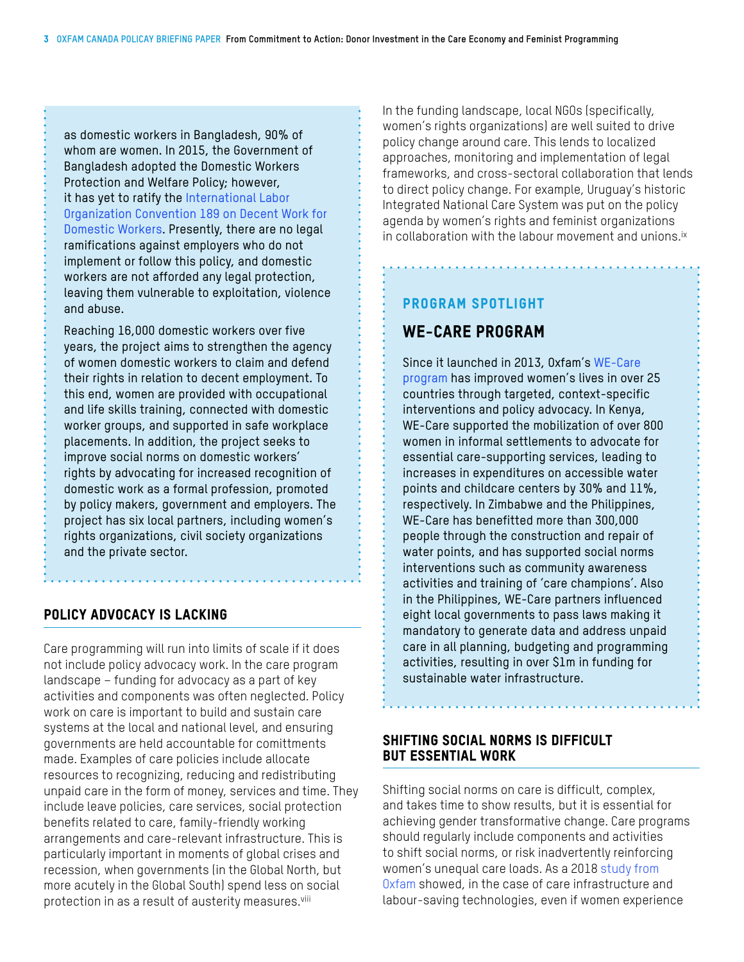as domestic workers in Bangladesh, 90% of whom are women. In 2015, the Government of Bangladesh adopted the Domestic Workers Protection and Welfare Policy; however, it has yet to ratify the International Labor [Organization Convention 189 on Decent Work for](https://www.ilo.org/dyn/normlex/en/f?p=NORMLEXPUB:12100:0::NO::P12100_ILO_CODE:C189)  [Domestic Workers.](https://www.ilo.org/dyn/normlex/en/f?p=NORMLEXPUB:12100:0::NO::P12100_ILO_CODE:C189) Presently, there are no legal ramifications against employers who do not implement or follow this policy, and domestic workers are not afforded any legal protection, leaving them vulnerable to exploitation, violence and abuse.

Reaching 16,000 domestic workers over five years, the project aims to strengthen the agency of women domestic workers to claim and defend their rights in relation to decent employment. To this end, women are provided with occupational and life skills training, connected with domestic worker groups, and supported in safe workplace placements. In addition, the project seeks to improve social norms on domestic workers' rights by advocating for increased recognition of domestic work as a formal profession, promoted by policy makers, government and employers. The project has six local partners, including women's rights organizations, civil society organizations and the private sector.

#### POLICY ADVOCACY IS LACKING

Care programming will run into limits of scale if it does not include policy advocacy work. In the care program landscape – funding for advocacy as a part of key activities and components was often neglected. Policy work on care is important to build and sustain care systems at the local and national level, and ensuring governments are held accountable for comittments made. Examples of care policies include allocate resources to recognizing, reducing and redistributing unpaid care in the form of money, services and time. They include leave policies, care services, social protection benefits related to care, family-friendly working arrangements and care-relevant infrastructure. This is particularly important in moments of global crises and recession, when governments (in the Global North, but more acutely in the Global South) spend less on social protection in as a result of austerity measures.<sup>viii</sup>

In the funding landscape, local NGOs (specifically, women's rights organizations) are well suited to drive policy change around care. This lends to localized approaches, monitoring and implementation of legal frameworks, and cross-sectoral collaboration that lends to direct policy change. For example, Uruguay's historic Integrated National Care System was put on the policy agenda by women's rights and feminist organizations in collaboration with the labour movement and unions.<sup>ix</sup>

### Program Spotlight

# WE-CARE PROGRAM

Since it launched in 2013, Oxfam's [WE-Care](https://policy-practice.oxfam.org/resources/making-care-count-an-overview-of-the-womens-economic-empowerment-and-care-initi-621100/)  [program](https://policy-practice.oxfam.org/resources/making-care-count-an-overview-of-the-womens-economic-empowerment-and-care-initi-621100/) has improved women's lives in over 25 countries through targeted, context-specific interventions and policy advocacy. In Kenya, WE-Care supported the mobilization of over 800 women in informal settlements to advocate for essential care-supporting services, leading to increases in expenditures on accessible water points and childcare centers by 30% and 11%, respectively. In Zimbabwe and the Philippines, WE-Care has benefitted more than 300,000 people through the construction and repair of water points, and has supported social norms interventions such as community awareness activities and training of 'care champions'. Also in the Philippines, WE-Care partners influenced eight local governments to pass laws making it mandatory to generate data and address unpaid care in all planning, budgeting and programming activities, resulting in over \$1m in funding for sustainable water infrastructure.

#### Shifting social norms is difficult but essential work

Shifting social norms on care is difficult, complex, and takes time to show results, but it is essential for achieving gender transformative change. Care programs should regularly include components and activities to shift social norms, or risk inadvertently reinforcing women's unequal care loads. As a 2018 [study from](https://policy-practice.oxfam.org/resources/infrastructure-and-equipment-for-unpaid-care-work-household-survey-findings-fro-620431/)  [Oxfam](https://policy-practice.oxfam.org/resources/infrastructure-and-equipment-for-unpaid-care-work-household-survey-findings-fro-620431/) showed, in the case of care infrastructure and labour-saving technologies, even if women experience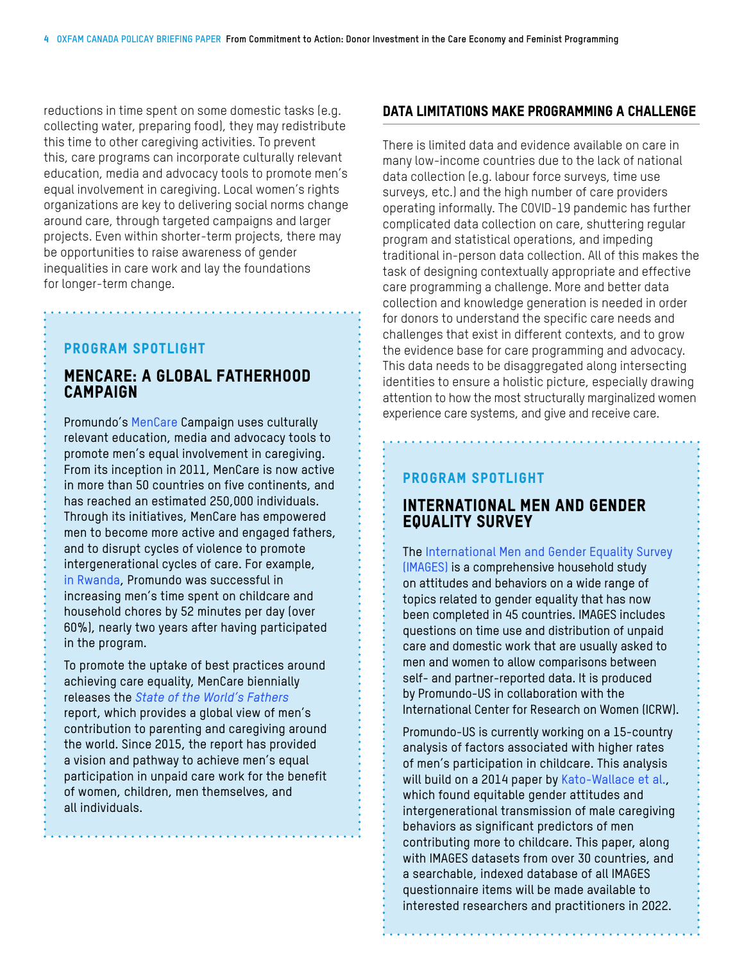reductions in time spent on some domestic tasks (e.g. collecting water, preparing food), they may redistribute this time to other caregiving activities. To prevent this, care programs can incorporate culturally relevant education, media and advocacy tools to promote men's equal involvement in caregiving. Local women's rights organizations are key to delivering social norms change around care, through targeted campaigns and larger projects. Even within shorter-term projects, there may be opportunities to raise awareness of gender inequalities in care work and lay the foundations for longer-term change.

#### Program Spotlight

. . . . . . . . . . . . . . . .

## MENCARE: A GLOBAL FATHERHOOD CAMPAIGN

Promundo's [MenCare](https://promundoglobal.org/programs/mencare/) Campaign uses culturally relevant education, media and advocacy tools to promote men's equal involvement in caregiving. From its inception in 2011, MenCare is now active in more than 50 countries on five continents, and has reached an estimated 250,000 individuals. Through its initiatives, MenCare has empowered men to become more active and engaged fathers, and to disrupt cycles of violence to promote intergenerational cycles of care. For example, [in Rwanda,](https://promundoglobal.org/fathers-rwanda-use-less-violence-reveals-new-study/) Promundo was successful in increasing men's time spent on childcare and household chores by 52 minutes per day (over 60%), nearly two years after having participated in the program.

To promote the uptake of best practices around achieving care equality, MenCare biennially releases the *[State of the World's Fathers](http://www.stateoftheworldsfathers.org)* report, which provides a global view of men's contribution to parenting and caregiving around the world. Since 2015, the report has provided a vision and pathway to achieve men's equal participation in unpaid care work for the benefit of women, children, men themselves, and all individuals.

#### Data limitations make programming a challenge

There is limited data and evidence available on care in many low-income countries due to the lack of national data collection (e.g. labour force surveys, time use surveys, etc.) and the high number of care providers operating informally. The COVID-19 pandemic has further complicated data collection on care, shuttering regular program and statistical operations, and impeding traditional in-person data collection. All of this makes the task of designing contextually appropriate and effective care programming a challenge. More and better data collection and knowledge generation is needed in order for donors to understand the specific care needs and challenges that exist in different contexts, and to grow the evidence base for care programming and advocacy. This data needs to be disaggregated along intersecting identities to ensure a holistic picture, especially drawing attention to how the most structurally marginalized women experience care systems, and give and receive care.

#### Program Spotlight

#### INTERNATIONAL MEN AND GENDER EQUALITY SURVEY

The [International Men and Gender Equality Survey](https://promundoglobal.org/programs/international-men-and-gender-equality-survey-images/)  [\(IMAGES\)](https://promundoglobal.org/programs/international-men-and-gender-equality-survey-images/) is a comprehensive household study on attitudes and behaviors on a wide range of topics related to gender equality that has now been completed in 45 countries. IMAGES includes questions on time use and distribution of unpaid care and domestic work that are usually asked to men and women to allow comparisons between self- and partner-reported data. It is produced by Promundo-US in collaboration with the International Center for Research on Women (ICRW).

Promundo-US is currently working on a 15-country analysis of factors associated with higher rates of men's participation in childcare. This analysis will build on a 2014 paper by [Kato-Wallace et al.](https://www.tandfonline.com/doi/abs/10.1080/17441692.2014.921829), which found equitable gender attitudes and intergenerational transmission of male caregiving behaviors as significant predictors of men contributing more to childcare. This paper, along with IMAGES datasets from over 30 countries, and a searchable, indexed database of all IMAGES questionnaire items will be made available to interested researchers and practitioners in 2022.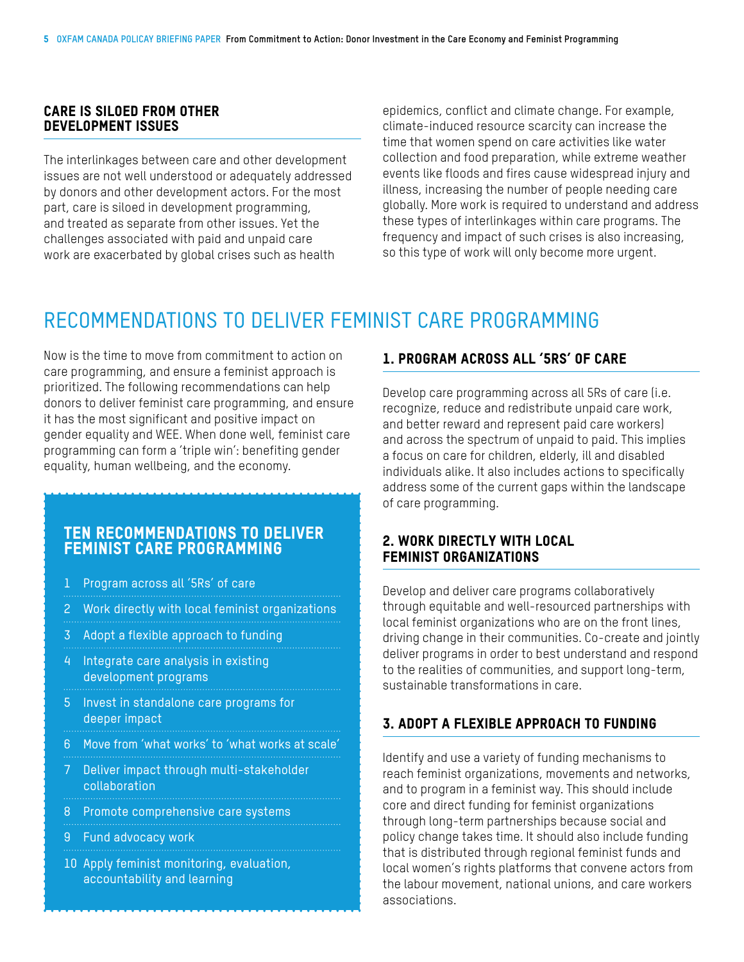#### Care is siloed from other development issues

The interlinkages between care and other development issues are not well understood or adequately addressed by donors and other development actors. For the most part, care is siloed in development programming, and treated as separate from other issues. Yet the challenges associated with paid and unpaid care work are exacerbated by global crises such as health

epidemics, conflict and climate change. For example, climate-induced resource scarcity can increase the time that women spend on care activities like water collection and food preparation, while extreme weather events like floods and fires cause widespread injury and illness, increasing the number of people needing care globally. More work is required to understand and address these types of interlinkages within care programs. The frequency and impact of such crises is also increasing, so this type of work will only become more urgent.

# RECOMMENDATIONS TO DELIVER FEMINIST CARE PROGRAMMING

Now is the time to move from commitment to action on care programming, and ensure a feminist approach is prioritized. The following recommendations can help donors to deliver feminist care programming, and ensure it has the most significant and positive impact on gender equality and WEE. When done well, feminist care programming can form a 'triple win': benefiting gender equality, human wellbeing, and the economy.

# TEN RECOMMENDATIONS TO DELIVER FEMINIST CARE PROGRAMMING

- 1 Program across all '5Rs' of care
- 2 Work directly with local feminist organizations
- 3 Adopt a flexible approach to funding
- 4 Integrate care analysis in existing development programs
- 5 Invest in standalone care programs for deeper impact
- 6 Move from 'what works' to 'what works at scale'
- 7 Deliver impact through multi-stakeholder collaboration
- 8 Promote comprehensive care systems
- 9 Fund advocacy work
- 10 Apply feminist monitoring, evaluation, accountability and learning

#### 1. Program across all '5Rs' of care

Develop care programming across all 5Rs of care (i.e. recognize, reduce and redistribute unpaid care work, and better reward and represent paid care workers) and across the spectrum of unpaid to paid. This implies a focus on care for children, elderly, ill and disabled individuals alike. It also includes actions to specifically address some of the current gaps within the landscape of care programming.

#### 2. Work directly with local feminist organizations

Develop and deliver care programs collaboratively through equitable and well-resourced partnerships with local feminist organizations who are on the front lines, driving change in their communities. Co-create and jointly deliver programs in order to best understand and respond to the realities of communities, and support long-term, sustainable transformations in care.

### 3. Adopt a flexible approach to funding

Identify and use a variety of funding mechanisms to reach feminist organizations, movements and networks, and to program in a feminist way. This should include core and direct funding for feminist organizations through long-term partnerships because social and policy change takes time. It should also include funding that is distributed through regional feminist funds and local women's rights platforms that convene actors from the labour movement, national unions, and care workers associations.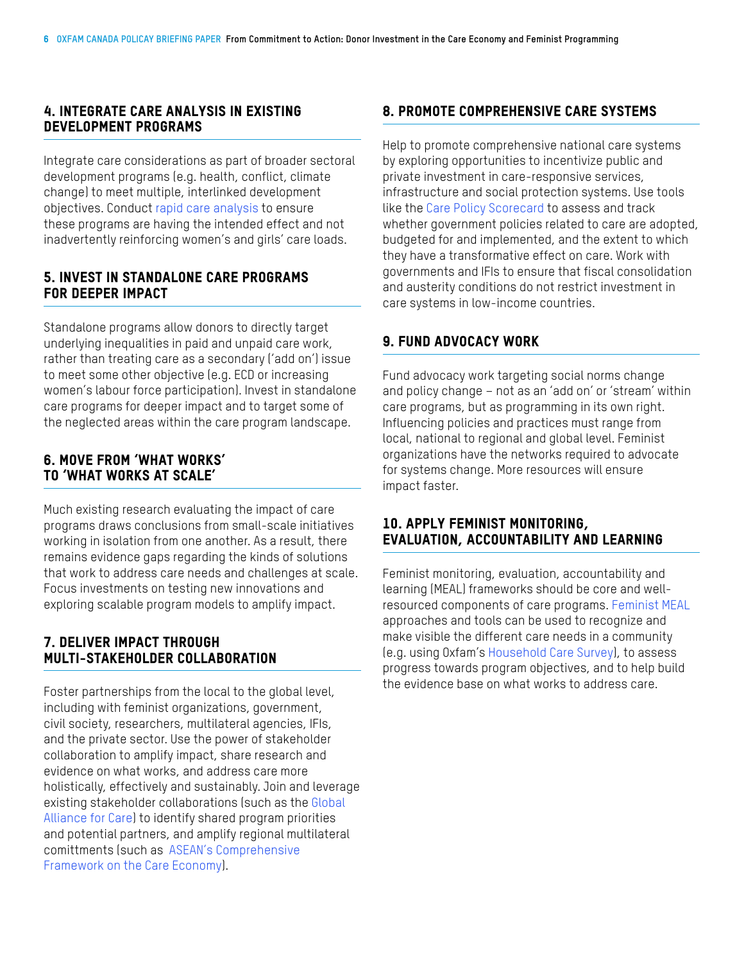#### 4. Integrate care analysis in existing development programs

Integrate care considerations as part of broader sectoral development programs (e.g. health, conflict, climate change) to meet multiple, interlinked development objectives. Conduct [rapid care analysis](https://policy-practice.oxfam.org/resources/participatory-methodology-rapid-care-analysis-guidance-for-managers-and-facilit-620147/) to ensure these programs are having the intended effect and not inadvertently reinforcing women's and girls' care loads.

#### 5. Invest in standalone care programs for deeper impact

Standalone programs allow donors to directly target underlying inequalities in paid and unpaid care work, rather than treating care as a secondary ('add on') issue to meet some other objective (e.g. ECD or increasing women's labour force participation). Invest in standalone care programs for deeper impact and to target some of the neglected areas within the care program landscape.

#### 6. Move from 'what works' to 'what works at scale'

Much existing research evaluating the impact of care programs draws conclusions from small-scale initiatives working in isolation from one another. As a result, there remains evidence gaps regarding the kinds of solutions that work to address care needs and challenges at scale. Focus investments on testing new innovations and exploring scalable program models to amplify impact.

#### 7. Deliver impact through MUI TI-STAKEHOLDER COLLABORATION

Foster partnerships from the local to the global level, including with feminist organizations, government, civil society, researchers, multilateral agencies, IFIs, and the private sector. Use the power of stakeholder collaboration to amplify impact, share research and evidence on what works, and address care more holistically, effectively and sustainably. Join and leverage existing stakeholder collaborations (such as the [Global](https://alianzadecuidados.forogeneracionigualdad.mx/?lang=en)  [Alliance for Care](https://alianzadecuidados.forogeneracionigualdad.mx/?lang=en)) to identify shared program priorities and potential partners, and amplify regional multilateral comittments (such as [ASEAN's Comprehensive](https://asean.org/asean-comprehensive-framework-on-care-economy/)  [Framework on the Care Economy\)](https://asean.org/asean-comprehensive-framework-on-care-economy/).

## 8. Promote comprehensive care systems

Help to promote comprehensive national care systems by exploring opportunities to incentivize public and private investment in care-responsive services, infrastructure and social protection systems. Use tools like the [Care Policy Scorecard](https://policy-practice.oxfam.org/resources/care-policy-scorecard-a-tool-for-assessing-country-progress-towards-an-enabling-621287/) to assess and track whether government policies related to care are adopted, budgeted for and implemented, and the extent to which they have a transformative effect on care. Work with governments and IFIs to ensure that fiscal consolidation and austerity conditions do not restrict investment in care systems in low-income countries.

#### 9. Fund advocacy work

Fund advocacy work targeting social norms change and policy change – not as an 'add on' or 'stream' within care programs, but as programming in its own right. Influencing policies and practices must range from local, national to regional and global level. Feminist organizations have the networks required to advocate for systems change. More resources will ensure impact faster.

#### 10. Apply feminist monitoring, evaluation, accountability and learning

Feminist monitoring, evaluation, accountability and learning (MEAL) frameworks should be core and wellresourced components of care programs. [Feminist MEAL](https://www.oxfam.ca/publication/guidance-note-on-feminist-meal/) approaches and tools can be used to recognize and make visible the different care needs in a community (e.g. using Oxfam's [Household Care Survey\)](https://policy-practice.oxfam.org/resources/measuring-and-understanding-unpaid-care-and-domestic-work-household-care-survey-621082/), to assess progress towards program objectives, and to help build the evidence base on what works to address care.